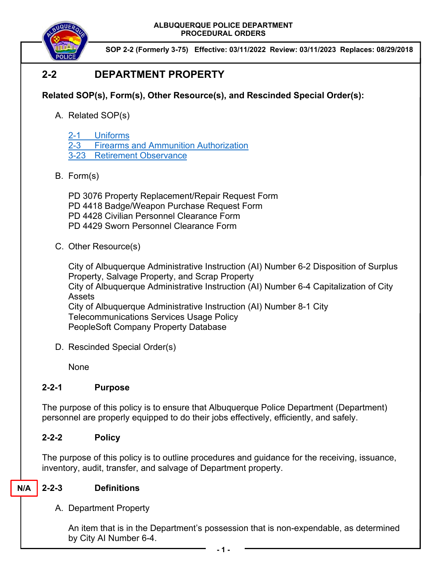**ALBUQUERQUE POLICE DEPARTMENT PROCEDURAL ORDERS** 



**SOP 2-2 (Formerly 3-75) Effective: 03/11/2022 Review: 03/11/2023 Replaces: 08/29/2018** 

# **2-2 DEPARTMENT PROPERTY**

# **Related SOP(s), Form(s), Other Resource(s), and Rescinded Special Order(s):**

- A. Related SOP(s)
	- 2-1 Uniforms
	- 2-3 Firearms and Ammunition Authorization
	- 3-23 Retirement Observance
- B. Form(s)

PD 3076 Property Replacement/Repair Request Form PD 4418 Badge/Weapon Purchase Request Form PD 4428 Civilian Personnel Clearance Form PD 4429 Sworn Personnel Clearance Form

C. Other Resource(s)

City of Albuquerque Administrative Instruction (AI) Number 6-2 Disposition of Surplus Property, Salvage Property, and Scrap Property City of Albuquerque Administrative Instruction (AI) Number 6-4 Capitalization of City Assets City of Albuquerque Administrative Instruction (AI) Number 8-1 City Telecommunications Services Usage Policy PeopleSoft Company Property Database

D. Rescinded Special Order(s)

None

### **2-2-1 Purpose**

The purpose of this policy is to ensure that Albuquerque Police Department (Department) personnel are properly equipped to do their jobs effectively, efficiently, and safely.

# **2-2-2 Policy**

The purpose of this policy is to outline procedures and guidance for the receiving, issuance, inventory, audit, transfer, and salvage of Department property.

#### **2-2-3 Definitions N/A**

A. Department Property

An item that is in the Department's possession that is non-expendable, as determined by City AI Number 6-4.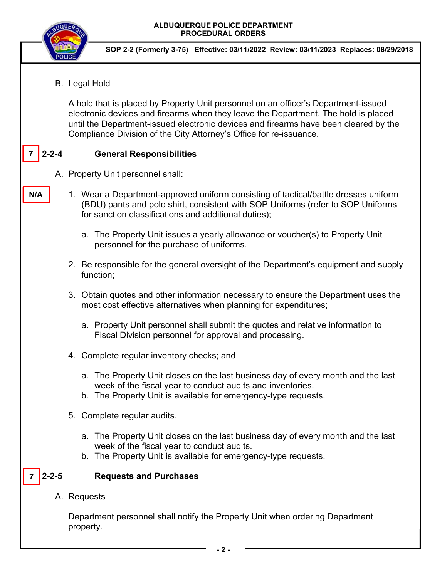

**N/A** 

**SOP 2-2 (Formerly 3-75) Effective: 03/11/2022 Review: 03/11/2023 Replaces: 08/29/2018** 

B. Legal Hold

A hold that is placed by Property Unit personnel on an officer's Department-issued electronic devices and firearms when they leave the Department. The hold is placed until the Department-issued electronic devices and firearms have been cleared by the Compliance Division of the City Attorney's Office for re-issuance.

## **2-2-4 General Responsibilities**

- A. Property Unit personnel shall:
	- 1. Wear a Department-approved uniform consisting of tactical/battle dresses uniform (BDU) pants and polo shirt, consistent with SOP Uniforms (refer to SOP Uniforms for sanction classifications and additional duties);
		- a. The Property Unit issues a yearly allowance or voucher(s) to Property Unit personnel for the purchase of uniforms.
		- 2. Be responsible for the general oversight of the Department's equipment and supply function;
		- 3. Obtain quotes and other information necessary to ensure the Department uses the most cost effective alternatives when planning for expenditures;
			- a. Property Unit personnel shall submit the quotes and relative information to Fiscal Division personnel for approval and processing.
		- 4. Complete regular inventory checks; and
			- a. The Property Unit closes on the last business day of every month and the last week of the fiscal year to conduct audits and inventories.
			- b. The Property Unit is available for emergency-type requests.
		- 5. Complete regular audits.
			- a. The Property Unit closes on the last business day of every month and the last week of the fiscal year to conduct audits.
			- b. The Property Unit is available for emergency-type requests.

#### $7 \mid 2 - 2 - 5$ **2-2-5 Requests and Purchases**

A. Requests

Department personnel shall notify the Property Unit when ordering Department property.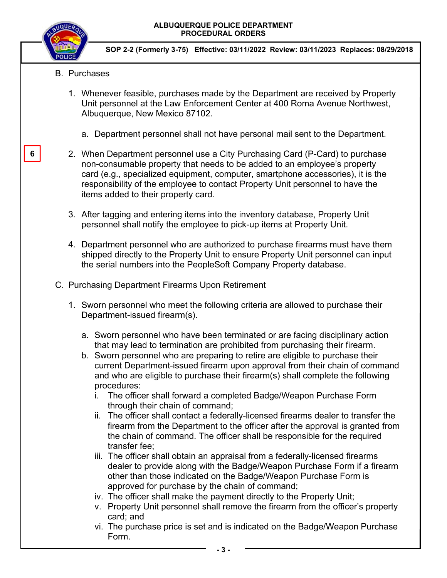

**SOP 2-2 (Formerly 3-75) Effective: 03/11/2022 Review: 03/11/2023 Replaces: 08/29/2018** 

- B. Purchases
	- 1. Whenever feasible, purchases made by the Department are received by Property Unit personnel at the Law Enforcement Center at 400 Roma Avenue Northwest, Albuquerque, New Mexico 87102.
		- a. Department personnel shall not have personal mail sent to the Department.
	- 2. When Department personnel use a City Purchasing Card (P-Card) to purchase non-consumable property that needs to be added to an employee's property card (e.g., specialized equipment, computer, smartphone accessories), it is the responsibility of the employee to contact Property Unit personnel to have the items added to their property card.
	- 3. After tagging and entering items into the inventory database, Property Unit personnel shall notify the employee to pick-up items at Property Unit.
	- 4. Department personnel who are authorized to purchase firearms must have them shipped directly to the Property Unit to ensure Property Unit personnel can input the serial numbers into the PeopleSoft Company Property database.
- C. Purchasing Department Firearms Upon Retirement
	- 1. Sworn personnel who meet the following criteria are allowed to purchase their Department-issued firearm(s).
		- a. Sworn personnel who have been terminated or are facing disciplinary action that may lead to termination are prohibited from purchasing their firearm.
		- b. Sworn personnel who are preparing to retire are eligible to purchase their current Department-issued firearm upon approval from their chain of command and who are eligible to purchase their firearm(s) shall complete the following procedures:
			- i. The officer shall forward a completed Badge/Weapon Purchase Form through their chain of command;
			- ii. The officer shall contact a federally-licensed firearms dealer to transfer the firearm from the Department to the officer after the approval is granted from the chain of command. The officer shall be responsible for the required transfer fee;
			- iii. The officer shall obtain an appraisal from a federally-licensed firearms dealer to provide along with the Badge/Weapon Purchase Form if a firearm other than those indicated on the Badge/Weapon Purchase Form is approved for purchase by the chain of command;
			- iv. The officer shall make the payment directly to the Property Unit;
			- v. Property Unit personnel shall remove the firearm from the officer's property card; and
			- vi. The purchase price is set and is indicated on the Badge/Weapon Purchase Form.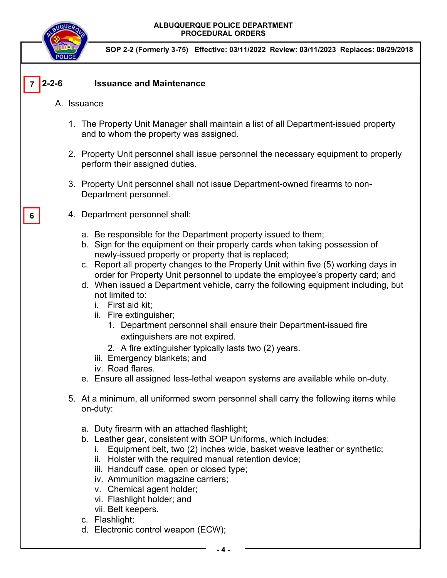

**SOP 2-2 (Formerly 3-75) Effective: 03/11/2022 Review: 03/11/2023 Replaces: 08/29/2018** 

#### $7 \vert 2 - 2 - 6$ **2-2-6 Issuance and Maintenance**

- A. Issuance
	- 1. The Property Unit Manager shall maintain a list of all Department-issued property and to whom the property was assigned.
	- 2. Property Unit personnel shall issue personnel the necessary equipment to properly perform their assigned duties.
	- 3. Property Unit personnel shall not issue Department-owned firearms to non-Department personnel.
	- 4. Department personnel shall:
		- a. Be responsible for the Department property issued to them;
		- b. Sign for the equipment on their property cards when taking possession of newly-issued property or property that is replaced;
		- c. Report all property changes to the Property Unit within five (5) working days in order for Property Unit personnel to update the employee's property card; and
		- d. When issued a Department vehicle, carry the following equipment including, but not limited to:
			- i. First aid kit;
			- ii. Fire extinguisher;
				- 1. Department personnel shall ensure their Department-issued fire extinguishers are not expired.
				- 2. A fire extinguisher typically lasts two (2) years.
			- iii. Emergency blankets; and
			- iv. Road flares.
		- e. Ensure all assigned less-lethal weapon systems are available while on-duty.
	- 5. At a minimum, all uniformed sworn personnel shall carry the following items while on-duty:
		- a. Duty firearm with an attached flashlight;
		- b. Leather gear, consistent with SOP Uniforms, which includes:
			- i. Equipment belt, two (2) inches wide, basket weave leather or synthetic;
			- ii. Holster with the required manual retention device;
			- iii. Handcuff case, open or closed type;
			- iv. Ammunition magazine carriers;
			- v. Chemical agent holder;
			- vi. Flashlight holder; and
			- vii. Belt keepers.
		- c. Flashlight;
		- d. Electronic control weapon (ECW);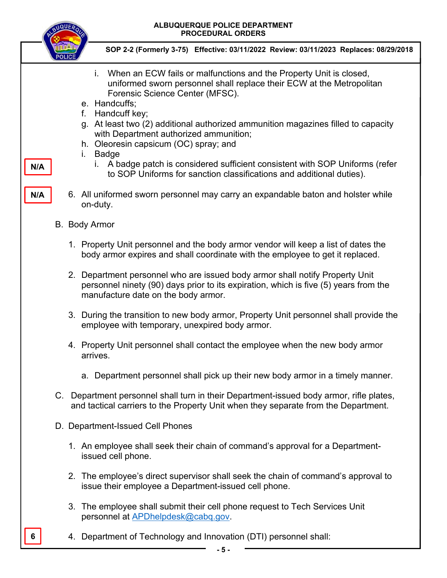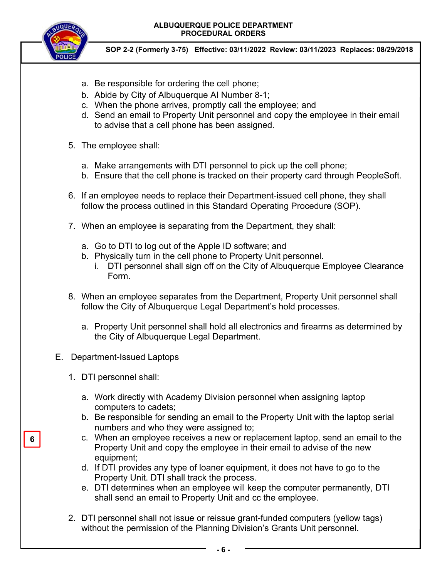**ALBUQUERQUE POLICE DEPARTMENT PROCEDURAL ORDERS** 



**SOP 2-2 (Formerly 3-75) Effective: 03/11/2022 Review: 03/11/2023 Replaces: 08/29/2018** 

- a. Be responsible for ordering the cell phone;
- b. Abide by City of Albuquerque AI Number 8-1;
- c. When the phone arrives, promptly call the employee; and
- d. Send an email to Property Unit personnel and copy the employee in their email to advise that a cell phone has been assigned.
- 5. The employee shall:
	- a. Make arrangements with DTI personnel to pick up the cell phone;
	- b. Ensure that the cell phone is tracked on their property card through PeopleSoft.
- 6. If an employee needs to replace their Department-issued cell phone, they shall follow the process outlined in this Standard Operating Procedure (SOP).
- 7. When an employee is separating from the Department, they shall:
	- a. Go to DTI to log out of the Apple ID software; and
	- b. Physically turn in the cell phone to Property Unit personnel.
		- i. DTI personnel shall sign off on the City of Albuquerque Employee Clearance Form.
- 8. When an employee separates from the Department, Property Unit personnel shall follow the City of Albuquerque Legal Department's hold processes.
	- a. Property Unit personnel shall hold all electronics and firearms as determined by the City of Albuquerque Legal Department.
- E. Department-Issued Laptops
	- 1. DTI personnel shall:
		- a. Work directly with Academy Division personnel when assigning laptop computers to cadets;
		- b. Be responsible for sending an email to the Property Unit with the laptop serial numbers and who they were assigned to;
		- c. When an employee receives a new or replacement laptop, send an email to the Property Unit and copy the employee in their email to advise of the new equipment;
		- d. If DTI provides any type of loaner equipment, it does not have to go to the Property Unit. DTI shall track the process.
		- e. DTI determines when an employee will keep the computer permanently, DTI shall send an email to Property Unit and cc the employee.
	- 2. DTI personnel shall not issue or reissue grant-funded computers (yellow tags) without the permission of the Planning Division's Grants Unit personnel.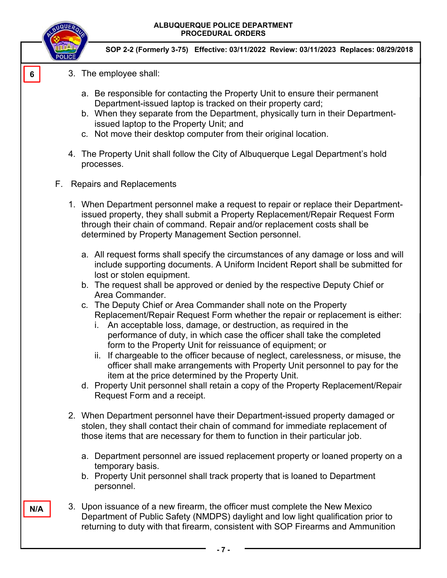

**N/A** 

**SOP 2-2 (Formerly 3-75) Effective: 03/11/2022 Review: 03/11/2023 Replaces: 08/29/2018** 

- 3. The employee shall:
	- a. Be responsible for contacting the Property Unit to ensure their permanent Department-issued laptop is tracked on their property card;
	- b. When they separate from the Department, physically turn in their Departmentissued laptop to the Property Unit; and
	- c. Not move their desktop computer from their original location.
- 4. The Property Unit shall follow the City of Albuquerque Legal Department's hold processes.
- F. Repairs and Replacements
	- 1. When Department personnel make a request to repair or replace their Departmentissued property, they shall submit a Property Replacement/Repair Request Form through their chain of command. Repair and/or replacement costs shall be determined by Property Management Section personnel.
		- a. All request forms shall specify the circumstances of any damage or loss and will include supporting documents. A Uniform Incident Report shall be submitted for lost or stolen equipment.
		- b. The request shall be approved or denied by the respective Deputy Chief or Area Commander.
		- c. The Deputy Chief or Area Commander shall note on the Property Replacement/Repair Request Form whether the repair or replacement is either:
			- i. An acceptable loss, damage, or destruction, as required in the performance of duty, in which case the officer shall take the completed form to the Property Unit for reissuance of equipment; or
			- ii. If chargeable to the officer because of neglect, carelessness, or misuse, the officer shall make arrangements with Property Unit personnel to pay for the item at the price determined by the Property Unit.
		- d. Property Unit personnel shall retain a copy of the Property Replacement/Repair Request Form and a receipt.
	- 2. When Department personnel have their Department-issued property damaged or stolen, they shall contact their chain of command for immediate replacement of those items that are necessary for them to function in their particular job.
		- a. Department personnel are issued replacement property or loaned property on a temporary basis.
		- b. Property Unit personnel shall track property that is loaned to Department personnel.
	- 3. Upon issuance of a new firearm, the officer must complete the New Mexico Department of Public Safety (NMDPS) daylight and low light qualification prior to returning to duty with that firearm, consistent with SOP Firearms and Ammunition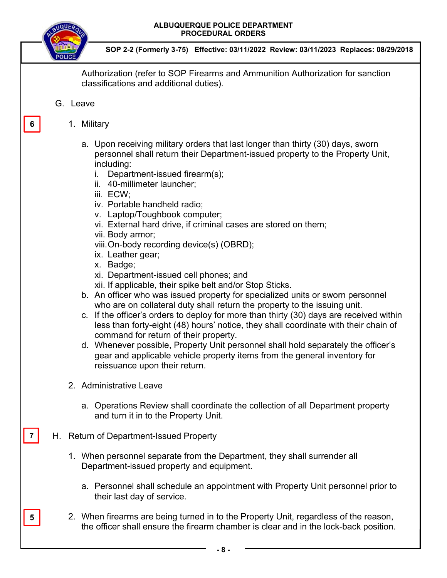



**SOP 2-2 (Formerly 3-75) Effective: 03/11/2022 Review: 03/11/2023 Replaces: 08/29/2018** 

Authorization (refer to SOP Firearms and Ammunition Authorization for sanction classifications and additional duties).

### G. Leave

**6** 

### 1. Military

- a. Upon receiving military orders that last longer than thirty (30) days, sworn personnel shall return their Department-issued property to the Property Unit, including:
	- i. Department-issued firearm(s);
	- ii. 40-millimeter launcher;
	- iii. ECW;
	- iv. Portable handheld radio;
	- v. Laptop/Toughbook computer;
	- vi. External hard drive, if criminal cases are stored on them;
	- vii. Body armor;
	- viii. On-body recording device(s) (OBRD);
	- ix. Leather gear;
	- x. Badge;
	- xi. Department-issued cell phones; and
	- xii. If applicable, their spike belt and/or Stop Sticks.
- b. An officer who was issued property for specialized units or sworn personnel who are on collateral duty shall return the property to the issuing unit.
- c. If the officer's orders to deploy for more than thirty (30) days are received within less than forty-eight (48) hours' notice, they shall coordinate with their chain of command for return of their property.
- d. Whenever possible, Property Unit personnel shall hold separately the officer's gear and applicable vehicle property items from the general inventory for reissuance upon their return.
- 2. Administrative Leave

**7** 

**5** 

- a. Operations Review shall coordinate the collection of all Department property and turn it in to the Property Unit.
- H. Return of Department-Issued Property
	- 1. When personnel separate from the Department, they shall surrender all Department-issued property and equipment.
		- a. Personnel shall schedule an appointment with Property Unit personnel prior to their last day of service.
	- 2. When firearms are being turned in to the Property Unit, regardless of the reason, the officer shall ensure the firearm chamber is clear and in the lock-back position.